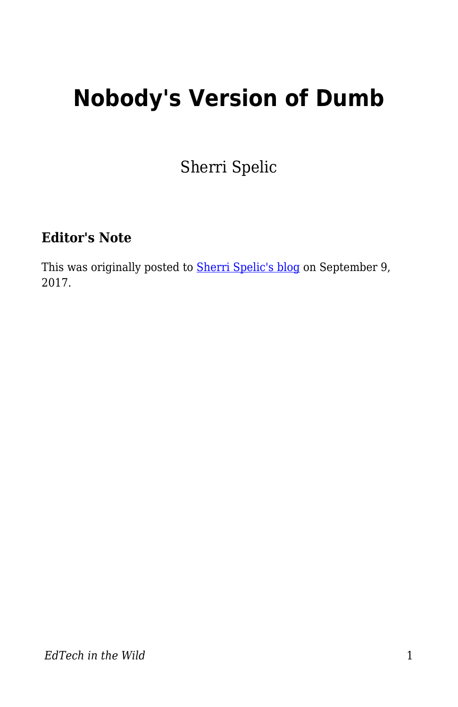## **Nobody's Version of Dumb**

Sherri Spelic

## **Editor's Note**

This was originally posted to **Sherri Spelic's blog** on September 9, 2017.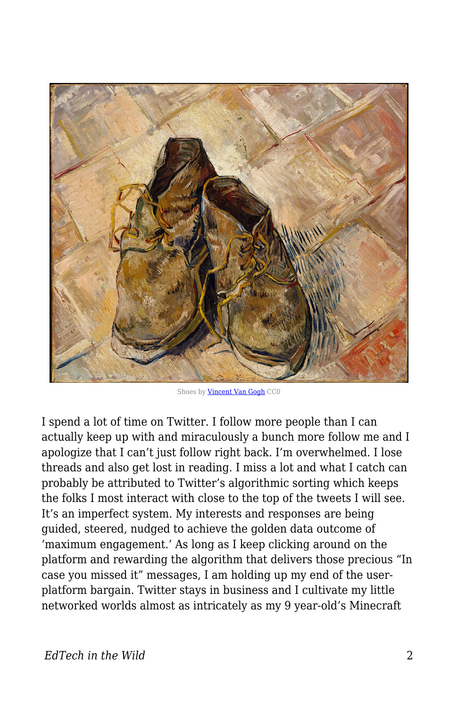

Shoes by **[Vincent Van Gogh](http://images.metmuseum.org/CRDImages/ep/original/DT1947.jpg)** CC0

I spend a lot of time on Twitter. I follow more people than I can actually keep up with and miraculously a bunch more follow me and I apologize that I can't just follow right back. I'm overwhelmed. I lose threads and also get lost in reading. I miss a lot and what I catch can probably be attributed to Twitter's algorithmic sorting which keeps the folks I most interact with close to the top of the tweets I will see. It's an imperfect system. My interests and responses are being guided, steered, nudged to achieve the golden data outcome of 'maximum engagement.' As long as I keep clicking around on the platform and rewarding the algorithm that delivers those precious "In case you missed it" messages, I am holding up my end of the userplatform bargain. Twitter stays in business and I cultivate my little networked worlds almost as intricately as my 9 year-old's Minecraft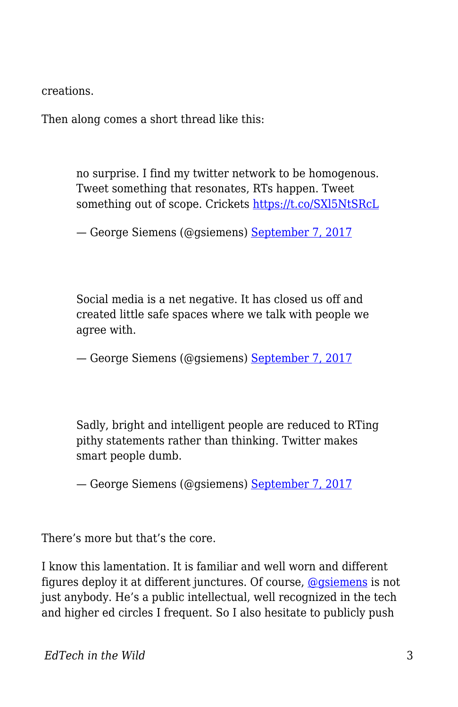creations.

Then along comes a short thread like this:

no surprise. I find my twitter network to be homogenous. Tweet something that resonates, RTs happen. Tweet something out of scope. Crickets <https://t.co/SXl5NtSRcL>

— George Siemens (@gsiemens) [September 7, 2017](https://twitter.com/gsiemens/status/905837030072086529)

Social media is a net negative. It has closed us off and created little safe spaces where we talk with people we agree with.

— George Siemens (@gsiemens) [September 7, 2017](https://twitter.com/gsiemens/status/905837397950255105)

Sadly, bright and intelligent people are reduced to RTing pithy statements rather than thinking. Twitter makes smart people dumb.

— George Siemens (@gsiemens) [September 7, 2017](https://twitter.com/gsiemens/status/905837821071691776)

There's more but that's the core.

I know this lamentation. It is familiar and well worn and different figures deploy it at different junctures. Of course, [@gsiemens](https://twitter.com/gsiemens) is not just anybody. He's a public intellectual, well recognized in the tech and higher ed circles I frequent. So I also hesitate to publicly push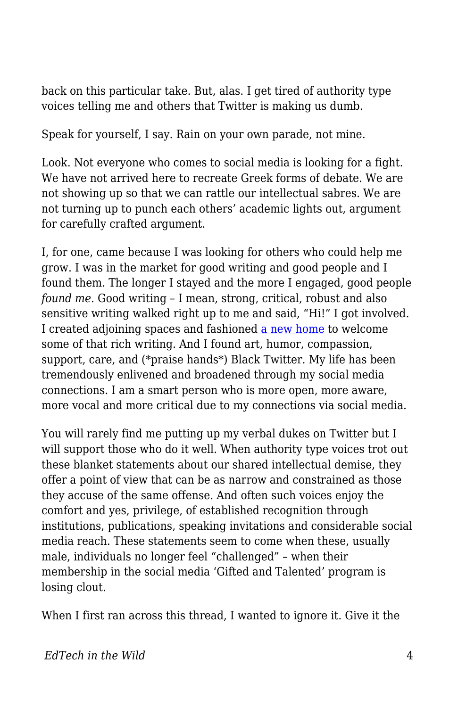back on this particular take. But, alas. I get tired of authority type voices telling me and others that Twitter is making us dumb.

Speak for yourself, I say. Rain on your own parade, not mine.

Look. Not everyone who comes to social media is looking for a fight. We have not arrived here to recreate Greek forms of debate. We are not showing up so that we can rattle our intellectual sabres. We are not turning up to punch each others' academic lights out, argument for carefully crafted argument.

I, for one, came because I was looking for others who could help me grow. I was in the market for good writing and good people and I found them. The longer I stayed and the more I engaged, good people *found me*. Good writing – I mean, strong, critical, robust and also sensitive writing walked right up to me and said, "Hi!" I got involved. I created adjoining spaces and fashioned [a new home](https://medium.com/identity-education-and-power) to welcome some of that rich writing. And I found art, humor, compassion, support, care, and (\*praise hands\*) Black Twitter. My life has been tremendously enlivened and broadened through my social media connections. I am a smart person who is more open, more aware, more vocal and more critical due to my connections via social media.

You will rarely find me putting up my verbal dukes on Twitter but I will support those who do it well. When authority type voices trot out these blanket statements about our shared intellectual demise, they offer a point of view that can be as narrow and constrained as those they accuse of the same offense. And often such voices enjoy the comfort and yes, privilege, of established recognition through institutions, publications, speaking invitations and considerable social media reach. These statements seem to come when these, usually male, individuals no longer feel "challenged" – when their membership in the social media 'Gifted and Talented' program is losing clout.

When I first ran across this thread, I wanted to ignore it. Give it the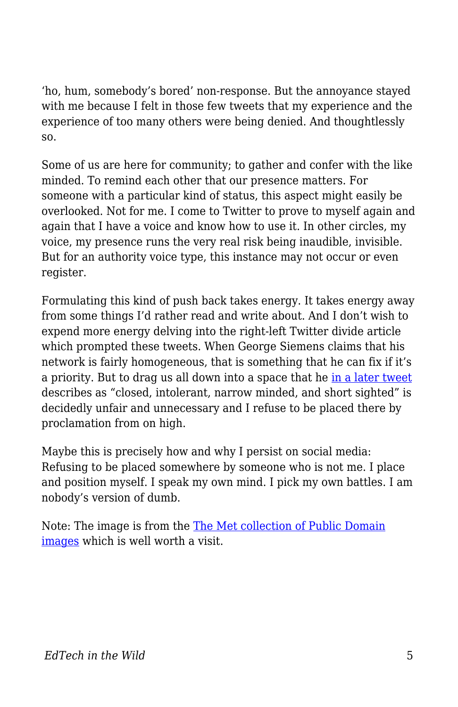'ho, hum, somebody's bored' non-response. But the annoyance stayed with me because I felt in those few tweets that my experience and the experience of too many others were being denied. And thoughtlessly so.

Some of us are here for community; to gather and confer with the like minded. To remind each other that our presence matters. For someone with a particular kind of status, this aspect might easily be overlooked. Not for me. I come to Twitter to prove to myself again and again that I have a voice and know how to use it. In other circles, my voice, my presence runs the very real risk being inaudible, invisible. But for an authority voice type, this instance may not occur or even register.

Formulating this kind of push back takes energy. It takes energy away from some things I'd rather read and write about. And I don't wish to expend more energy delving into the right-left Twitter divide article which prompted these tweets. When George Siemens claims that his network is fairly homogeneous, that is something that he can fix if it's a priority. But to drag us all down into a space that he [in a later tweet](https://twitter.com/gsiemens/status/905838706866696192) describes as "closed, intolerant, narrow minded, and short sighted" is decidedly unfair and unnecessary and I refuse to be placed there by proclamation from on high.

Maybe this is precisely how and why I persist on social media: Refusing to be placed somewhere by someone who is not me. I place and position myself. I speak my own mind. I pick my own battles. I am nobody's version of dumb.

Note: The image is from the [The Met collection of Public Domain](http://metmuseum.org/about-the-met/policies-and-documents/image-resources) [images](http://metmuseum.org/about-the-met/policies-and-documents/image-resources) which is well worth a visit.